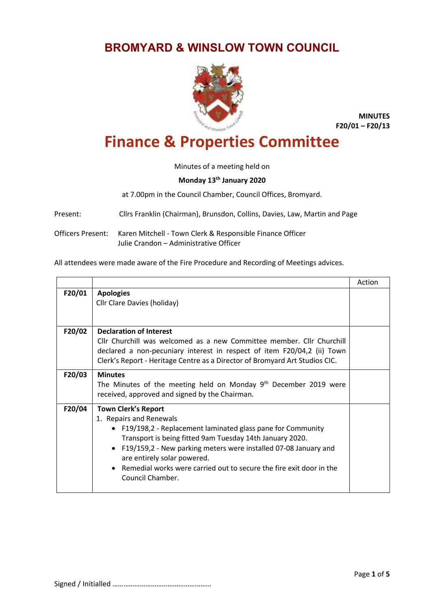## **BROMYARD & WINSLOW TOWN COUNCIL**



**MINUTES F20/01 – F20/13**

## **Finance & Properties Committee**

Minutes of a meeting held on

## **Monday 13th January 2020**

at 7.00pm in the Council Chamber, Council Offices, Bromyard.

Present: Cllrs Franklin (Chairman), Brunsdon, Collins, Davies, Law, Martin and Page

Officers Present: Karen Mitchell - Town Clerk & Responsible Finance Officer Julie Crandon – Administrative Officer

All attendees were made aware of the Fire Procedure and Recording of Meetings advices.

|        |                                                                                                                                                                                                                                                                                                                                                                                    | Action |
|--------|------------------------------------------------------------------------------------------------------------------------------------------------------------------------------------------------------------------------------------------------------------------------------------------------------------------------------------------------------------------------------------|--------|
| F20/01 | <b>Apologies</b><br>Cllr Clare Davies (holiday)                                                                                                                                                                                                                                                                                                                                    |        |
| F20/02 | <b>Declaration of Interest</b><br>Cllr Churchill was welcomed as a new Committee member. Cllr Churchill<br>declared a non-pecuniary interest in respect of item F20/04,2 (ii) Town<br>Clerk's Report - Heritage Centre as a Director of Bromyard Art Studios CIC.                                                                                                                  |        |
| F20/03 | <b>Minutes</b><br>The Minutes of the meeting held on Monday 9 <sup>th</sup> December 2019 were<br>received, approved and signed by the Chairman.                                                                                                                                                                                                                                   |        |
| F20/04 | <b>Town Clerk's Report</b><br>1. Repairs and Renewals<br>• F19/198,2 - Replacement laminated glass pane for Community<br>Transport is being fitted 9am Tuesday 14th January 2020.<br>• F19/159,2 - New parking meters were installed 07-08 January and<br>are entirely solar powered.<br>• Remedial works were carried out to secure the fire exit door in the<br>Council Chamber. |        |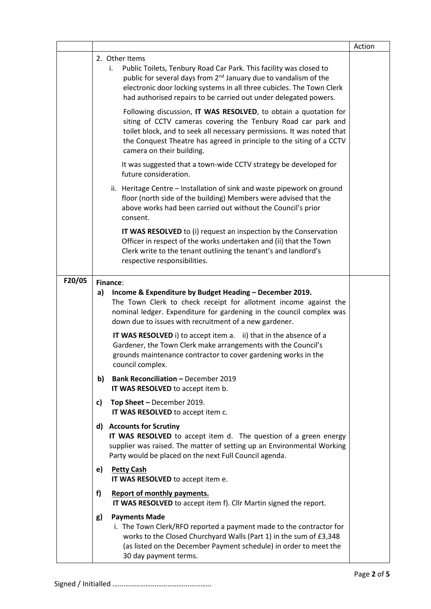|        |    |                                                                                                                                                                                                                                                                                                                  | Action |
|--------|----|------------------------------------------------------------------------------------------------------------------------------------------------------------------------------------------------------------------------------------------------------------------------------------------------------------------|--------|
|        |    | 2. Other Items                                                                                                                                                                                                                                                                                                   |        |
|        |    | Public Toilets, Tenbury Road Car Park. This facility was closed to<br>i.<br>public for several days from 2 <sup>nd</sup> January due to vandalism of the<br>electronic door locking systems in all three cubicles. The Town Clerk<br>had authorised repairs to be carried out under delegated powers.            |        |
|        |    | Following discussion, IT WAS RESOLVED, to obtain a quotation for<br>siting of CCTV cameras covering the Tenbury Road car park and<br>toilet block, and to seek all necessary permissions. It was noted that<br>the Conquest Theatre has agreed in principle to the siting of a CCTV<br>camera on their building. |        |
|        |    | It was suggested that a town-wide CCTV strategy be developed for<br>future consideration.                                                                                                                                                                                                                        |        |
|        |    | ii. Heritage Centre - Installation of sink and waste pipework on ground<br>floor (north side of the building) Members were advised that the<br>above works had been carried out without the Council's prior<br>consent.                                                                                          |        |
|        |    | <b>IT WAS RESOLVED</b> to (i) request an inspection by the Conservation<br>Officer in respect of the works undertaken and (ii) that the Town<br>Clerk write to the tenant outlining the tenant's and landlord's<br>respective responsibilities.                                                                  |        |
| F20/05 |    | Finance:                                                                                                                                                                                                                                                                                                         |        |
|        | a) | Income & Expenditure by Budget Heading - December 2019.<br>The Town Clerk to check receipt for allotment income against the<br>nominal ledger. Expenditure for gardening in the council complex was<br>down due to issues with recruitment of a new gardener.                                                    |        |
|        |    | <b>IT WAS RESOLVED</b> i) to accept item a. ii) that in the absence of a<br>Gardener, the Town Clerk make arrangements with the Council's<br>grounds maintenance contractor to cover gardening works in the<br>council complex.                                                                                  |        |
|        | b) | <b>Bank Reconciliation - December 2019</b><br>IT WAS RESOLVED to accept item b.                                                                                                                                                                                                                                  |        |
|        | C) | Top Sheet - December 2019.<br>IT WAS RESOLVED to accept item c.                                                                                                                                                                                                                                                  |        |
|        |    | d) Accounts for Scrutiny<br>IT WAS RESOLVED to accept item d. The question of a green energy<br>supplier was raised. The matter of setting up an Environmental Working<br>Party would be placed on the next Full Council agenda.                                                                                 |        |
|        | e) | <b>Petty Cash</b><br>IT WAS RESOLVED to accept item e.                                                                                                                                                                                                                                                           |        |
|        | f) | Report of monthly payments.<br>IT WAS RESOLVED to accept item f). Cllr Martin signed the report.                                                                                                                                                                                                                 |        |
|        | g) | <b>Payments Made</b><br>i. The Town Clerk/RFO reported a payment made to the contractor for<br>works to the Closed Churchyard Walls (Part 1) in the sum of £3,348<br>(as listed on the December Payment schedule) in order to meet the<br>30 day payment terms.                                                  |        |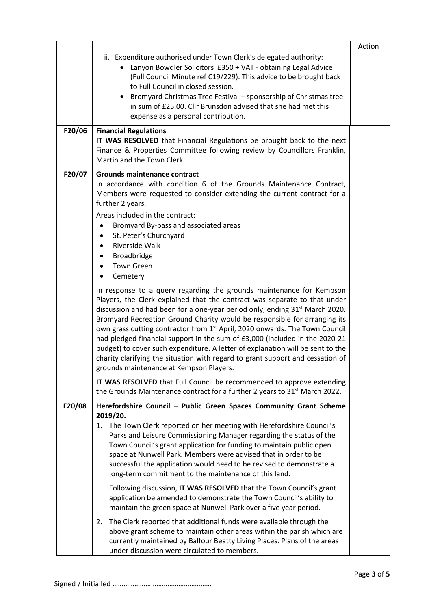|        |                                                                                                                                                                                                                                                                                                                                                                                                                                                                                                                                                                                                                                                                                                                                                                                                                                                                                                                                                                                                                                                                                                                                                                                                                                   | Action |
|--------|-----------------------------------------------------------------------------------------------------------------------------------------------------------------------------------------------------------------------------------------------------------------------------------------------------------------------------------------------------------------------------------------------------------------------------------------------------------------------------------------------------------------------------------------------------------------------------------------------------------------------------------------------------------------------------------------------------------------------------------------------------------------------------------------------------------------------------------------------------------------------------------------------------------------------------------------------------------------------------------------------------------------------------------------------------------------------------------------------------------------------------------------------------------------------------------------------------------------------------------|--------|
|        | ii. Expenditure authorised under Town Clerk's delegated authority:<br>Lanyon Bowdler Solicitors £350 + VAT - obtaining Legal Advice<br>(Full Council Minute ref C19/229). This advice to be brought back<br>to Full Council in closed session.<br>Bromyard Christmas Tree Festival - sponsorship of Christmas tree<br>in sum of £25.00. Cllr Brunsdon advised that she had met this<br>expense as a personal contribution.                                                                                                                                                                                                                                                                                                                                                                                                                                                                                                                                                                                                                                                                                                                                                                                                        |        |
| F20/06 | <b>Financial Regulations</b><br>IT WAS RESOLVED that Financial Regulations be brought back to the next<br>Finance & Properties Committee following review by Councillors Franklin,<br>Martin and the Town Clerk.                                                                                                                                                                                                                                                                                                                                                                                                                                                                                                                                                                                                                                                                                                                                                                                                                                                                                                                                                                                                                  |        |
| F20/07 | <b>Grounds maintenance contract</b><br>In accordance with condition 6 of the Grounds Maintenance Contract,<br>Members were requested to consider extending the current contract for a<br>further 2 years.<br>Areas included in the contract:<br>Bromyard By-pass and associated areas<br>$\bullet$<br>St. Peter's Churchyard<br>٠<br>Riverside Walk<br>$\bullet$<br>Broadbridge<br>٠<br><b>Town Green</b><br>Cemetery<br>$\bullet$<br>In response to a query regarding the grounds maintenance for Kempson<br>Players, the Clerk explained that the contract was separate to that under<br>discussion and had been for a one-year period only, ending 31 <sup>st</sup> March 2020.<br>Bromyard Recreation Ground Charity would be responsible for arranging its<br>own grass cutting contractor from 1 <sup>st</sup> April, 2020 onwards. The Town Council<br>had pledged financial support in the sum of £3,000 (included in the 2020-21<br>budget) to cover such expenditure. A letter of explanation will be sent to the<br>charity clarifying the situation with regard to grant support and cessation of<br>grounds maintenance at Kempson Players.<br>IT WAS RESOLVED that Full Council be recommended to approve extending |        |
| F20/08 | the Grounds Maintenance contract for a further 2 years to 31 <sup>st</sup> March 2022.<br>Herefordshire Council - Public Green Spaces Community Grant Scheme<br>2019/20.<br>1. The Town Clerk reported on her meeting with Herefordshire Council's<br>Parks and Leisure Commissioning Manager regarding the status of the<br>Town Council's grant application for funding to maintain public open<br>space at Nunwell Park. Members were advised that in order to be                                                                                                                                                                                                                                                                                                                                                                                                                                                                                                                                                                                                                                                                                                                                                              |        |
|        | successful the application would need to be revised to demonstrate a<br>long-term commitment to the maintenance of this land.<br>Following discussion, IT WAS RESOLVED that the Town Council's grant<br>application be amended to demonstrate the Town Council's ability to<br>maintain the green space at Nunwell Park over a five year period.<br>The Clerk reported that additional funds were available through the<br>2.<br>above grant scheme to maintain other areas within the parish which are<br>currently maintained by Balfour Beatty Living Places. Plans of the areas<br>under discussion were circulated to members.                                                                                                                                                                                                                                                                                                                                                                                                                                                                                                                                                                                               |        |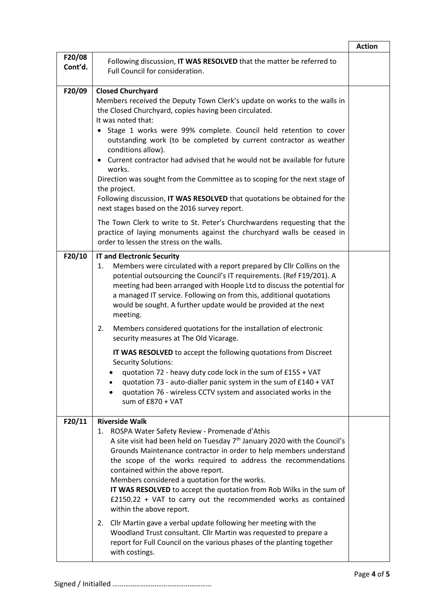|                   |                                                                                                                                                                                                                                                                                                                                                                                                                                                                                                                                                                                                                                                                       | <b>Action</b> |
|-------------------|-----------------------------------------------------------------------------------------------------------------------------------------------------------------------------------------------------------------------------------------------------------------------------------------------------------------------------------------------------------------------------------------------------------------------------------------------------------------------------------------------------------------------------------------------------------------------------------------------------------------------------------------------------------------------|---------------|
| F20/08<br>Cont'd. | Following discussion, IT WAS RESOLVED that the matter be referred to<br>Full Council for consideration.                                                                                                                                                                                                                                                                                                                                                                                                                                                                                                                                                               |               |
| F20/09            | <b>Closed Churchyard</b><br>Members received the Deputy Town Clerk's update on works to the walls in<br>the Closed Churchyard, copies having been circulated.<br>It was noted that:<br>Stage 1 works were 99% complete. Council held retention to cover<br>outstanding work (to be completed by current contractor as weather<br>conditions allow).<br>Current contractor had advised that he would not be available for future<br>works.<br>Direction was sought from the Committee as to scoping for the next stage of<br>the project.<br>Following discussion, IT WAS RESOLVED that quotations be obtained for the<br>next stages based on the 2016 survey report. |               |
|                   | The Town Clerk to write to St. Peter's Churchwardens requesting that the<br>practice of laying monuments against the churchyard walls be ceased in<br>order to lessen the stress on the walls.                                                                                                                                                                                                                                                                                                                                                                                                                                                                        |               |
| F20/10            | <b>IT and Electronic Security</b><br>Members were circulated with a report prepared by Cllr Collins on the<br>1.<br>potential outsourcing the Council's IT requirements. (Ref F19/201). A<br>meeting had been arranged with Hoople Ltd to discuss the potential for<br>a managed IT service. Following on from this, additional quotations<br>would be sought. A further update would be provided at the next<br>meeting.<br>Members considered quotations for the installation of electronic<br>2.<br>security measures at The Old Vicarage.                                                                                                                         |               |
|                   | IT WAS RESOLVED to accept the following quotations from Discreet<br><b>Security Solutions:</b><br>quotation 72 - heavy duty code lock in the sum of £155 + VAT<br>quotation 73 - auto-dialler panic system in the sum of £140 + VAT<br>quotation 76 - wireless CCTV system and associated works in the<br>٠<br>sum of £870 + VAT                                                                                                                                                                                                                                                                                                                                      |               |
| F20/11            | <b>Riverside Walk</b><br>ROSPA Water Safety Review - Promenade d'Athis<br>1.<br>A site visit had been held on Tuesday 7 <sup>th</sup> January 2020 with the Council's<br>Grounds Maintenance contractor in order to help members understand<br>the scope of the works required to address the recommendations<br>contained within the above report.<br>Members considered a quotation for the works.<br>IT WAS RESOLVED to accept the quotation from Rob Wilks in the sum of<br>$£2150.22 + VAT$ to carry out the recommended works as contained<br>within the above report.                                                                                          |               |
|                   | Cllr Martin gave a verbal update following her meeting with the<br>2.<br>Woodland Trust consultant. Cllr Martin was requested to prepare a<br>report for Full Council on the various phases of the planting together<br>with costings.                                                                                                                                                                                                                                                                                                                                                                                                                                |               |